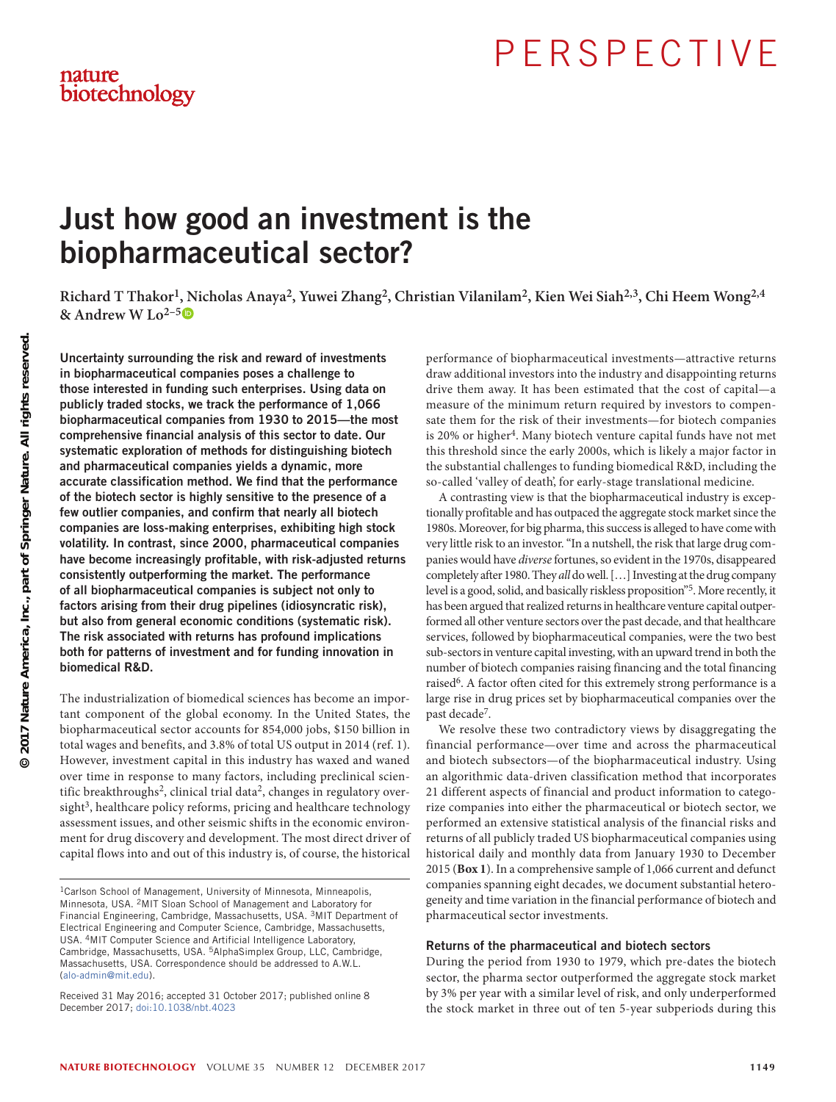# **PERSPECTIVE**

# Just how good an investment is the biopharmaceutical sector?

**Richard T Thakor1[, N](http://orcid.org/0000-0003-2944-7773)icholas Anaya2, Yuwei Zhang2, Christian Vilanilam2, Kien Wei Siah2,3, Chi Heem Wong2,4 & Andrew W Lo2–5**

Uncertainty surrounding the risk and reward of investments in biopharmaceutical companies poses a challenge to those interested in funding such enterprises. Using data on publicly traded stocks, we track the performance of 1,066 biopharmaceutical companies from 1930 to 2015—the most comprehensive financial analysis of this sector to date. Our systematic exploration of methods for distinguishing biotech and pharmaceutical companies yields a dynamic, more accurate classification method. We find that the performance of the biotech sector is highly sensitive to the presence of a few outlier companies, and confirm that nearly all biotech companies are loss-making enterprises, exhibiting high stock volatility. In contrast, since 2000, pharmaceutical companies have become increasingly profitable, with risk-adjusted returns consistently outperforming the market. The performance of all biopharmaceutical companies is subject not only to factors arising from their drug pipelines (idiosyncratic risk), but also from general economic conditions (systematic risk). The risk associated with returns has profound implications both for patterns of investment and for funding innovation in biomedical R&D.

The industrialization of biomedical sciences has become an important component of the global economy. In the United States, the biopharmaceutical sector accounts for 854,000 jobs, \$150 billion in total wages and benefits, and 3.8% of total US output in 2014 (ref. [1](#page-8-0)). However, investment capital in this industry has waxed and waned over time in response to many factors, including preclinical scien-tific breakthroughs<sup>[2](#page-8-1)</sup>, clinical trial data<sup>2</sup>, changes in regulatory oversight<sup>3</sup>, healthcare policy reforms, pricing and healthcare technology assessment issues, and other seismic shifts in the economic environment for drug discovery and development. The most direct driver of capital flows into and out of this industry is, of course, the historical

performance of biopharmaceutical investments—attractive returns draw additional investors into the industry and disappointing returns drive them away. It has been estimated that the cost of capital—a measure of the minimum return required by investors to compensate them for the risk of their investments—for biotech companies is 20% or higher<sup>[4](#page-8-3)</sup>. Many biotech venture capital funds have not met this threshold since the early 2000s, which is likely a major factor in the substantial challenges to funding biomedical R&D, including the so-called 'valley of death', for early-stage translational medicine.

A contrasting view is that the biopharmaceutical industry is exceptionally profitable and has outpaced the aggregate stock market since the 1980s. Moreover, for big pharma, this success is alleged to have come with very little risk to an investor. "In a nutshell, the risk that large drug companies would have *diverse* fortunes, so evident in the 1970s, disappeared completely after 1980. They *all* do well. […] Investing at the drug company level is a good, solid, and basically riskless proposition["5](#page-8-4). More recently, it has been argued that realized returns in healthcare venture capital outperformed all other venture sectors over the past decade, and that healthcare services, followed by biopharmaceutical companies, were the two best sub-sectors in venture capital investing, with an upward trend in both the number of biotech companies raising financing and the total financing raised<sup>6</sup>. A factor often cited for this extremely strong performance is a large rise in drug prices set by biopharmaceutical companies over the past decade[7.](#page-8-6)

We resolve these two contradictory views by disaggregating the financial performance—over time and across the pharmaceutical and biotech subsectors—of the biopharmaceutical industry. Using an algorithmic data-driven classification method that incorporates 21 different aspects of financial and product information to categorize companies into either the pharmaceutical or biotech sector, we performed an extensive statistical analysis of the financial risks and returns of all publicly traded US biopharmaceutical companies using historical daily and monthly data from January 1930 to December 2015 (**[Box 1](#page-1-0)**). In a comprehensive sample of 1,066 current and defunct companies spanning eight decades, we document substantial heterogeneity and time variation in the financial performance of biotech and pharmaceutical sector investments.

#### Returns of the pharmaceutical and biotech sectors

During the period from 1930 to 1979, which pre-dates the biotech sector, the pharma sector outperformed the aggregate stock market by 3% per year with a similar level of risk, and only underperformed the stock market in three out of ten 5-year subperiods during this

<sup>&</sup>lt;sup>1</sup>Carlson School of Management, University of Minnesota, Minneapolis, Minnesota, USA. 2MIT Sloan School of Management and Laboratory for Financial Engineering, Cambridge, Massachusetts, USA. 3MIT Department of Electrical Engineering and Computer Science, Cambridge, Massachusetts, USA. 4MIT Computer Science and Artificial Intelligence Laboratory, Cambridge, Massachusetts, USA. 5AlphaSimplex Group, LLC, Cambridge, Massachusetts, USA. Correspondence should be addressed to A.W.L. (alo-admin@mit.edu).

Received 31 May 2016; accepted 31 October 2017; published online 8 December 2017; [doi:10.1038/nbt.4023](http://dx.doi.org/10.1038/nbt.4023)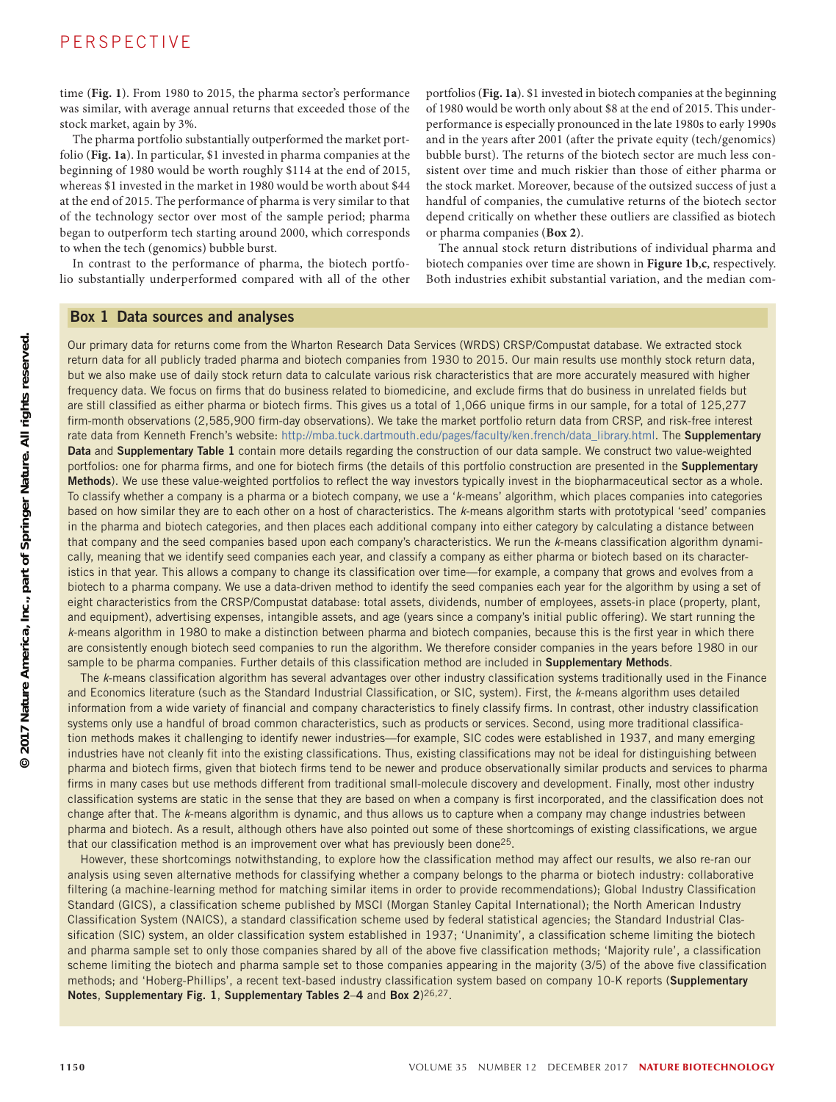time (**[Fig. 1](#page-2-0)**). From 1980 to 2015, the pharma sector's performance was similar, with average annual returns that exceeded those of the stock market, again by 3%.

The pharma portfolio substantially outperformed the market portfolio (**[Fig. 1a](#page-2-0)**). In particular, \$1 invested in pharma companies at the beginning of 1980 would be worth roughly \$114 at the end of 2015, whereas \$1 invested in the market in 1980 would be worth about \$44 at the end of 2015. The performance of pharma is very similar to that of the technology sector over most of the sample period; pharma began to outperform tech starting around 2000, which corresponds to when the tech (genomics) bubble burst.

In contrast to the performance of pharma, the biotech portfolio substantially underperformed compared with all of the other

# Box 1 Data sources and analyses

portfolios (**[Fig. 1a](#page-2-0)**). \$1 invested in biotech companies at the beginning of 1980 would be worth only about \$8 at the end of 2015. This underperformance is especially pronounced in the late 1980s to early 1990s and in the years after 2001 (after the private equity (tech/genomics) bubble burst). The returns of the biotech sector are much less consistent over time and much riskier than those of either pharma or the stock market. Moreover, because of the outsized success of just a handful of companies, the cumulative returns of the biotech sector depend critically on whether these outliers are classified as biotech or pharma companies (**[Box 2](#page-3-0)**).

The annual stock return distributions of individual pharma and biotech companies over time are shown in **[Figure 1b](#page-2-0)**,**c**, respectively. Both industries exhibit substantial variation, and the median com-

<span id="page-1-0"></span>Our primary data for returns come from the Wharton Research Data Services (WRDS) CRSP/Compustat database. We extracted stock return data for all publicly traded pharma and biotech companies from 1930 to 2015. Our main results use monthly stock return data, but we also make use of daily stock return data to calculate various risk characteristics that are more accurately measured with higher frequency data. We focus on firms that do business related to biomedicine, and exclude firms that do business in unrelated fields but are still classified as either pharma or biotech firms. This gives us a total of 1,066 unique firms in our sample, for a total of 125,277 firm-month observations (2,585,900 firm-day observations). We take the market portfolio return data from CRSP, and risk-free interest rate data from Kenneth French's website: [http://mba.tuck.dartmouth.edu/pages/faculty/ken.french/data\\_library.html](http://mba.tuck.dartmouth.edu/pages/faculty/ken.french/data_library.html). The Supplementary Data and Supplementary [Table 1](#page-7-0) contain more details regarding the construction of our data sample. We construct two value-weighted portfolios: one for pharma firms, and one for biotech firms (the details of this portfolio construction are presented in the Supplementary Methods). We use these value-weighted portfolios to reflect the way investors typically invest in the biopharmaceutical sector as a whole. To classify whether a company is a pharma or a biotech company, we use a '*k*-means' algorithm, which places companies into categories based on how similar they are to each other on a host of characteristics. The *k*-means algorithm starts with prototypical 'seed' companies in the pharma and biotech categories, and then places each additional company into either category by calculating a distance between that company and the seed companies based upon each company's characteristics. We run the *k*-means classification algorithm dynamically, meaning that we identify seed companies each year, and classify a company as either pharma or biotech based on its characteristics in that year. This allows a company to change its classification over time—for example, a company that grows and evolves from a biotech to a pharma company. We use a data-driven method to identify the seed companies each year for the algorithm by using a set of eight characteristics from the CRSP/Compustat database: total assets, dividends, number of employees, assets-in place (property, plant, and equipment), advertising expenses, intangible assets, and age (years since a company's initial public offering). We start running the *k*-means algorithm in 1980 to make a distinction between pharma and biotech companies, because this is the first year in which there are consistently enough biotech seed companies to run the algorithm. We therefore consider companies in the years before 1980 in our sample to be pharma companies. Further details of this classification method are included in Supplementary Methods.

The *k*-means classification algorithm has several advantages over other industry classification systems traditionally used in the Finance and Economics literature (such as the Standard Industrial Classification, or SIC, system). First, the *k*-means algorithm uses detailed information from a wide variety of financial and company characteristics to finely classify firms. In contrast, other industry classification systems only use a handful of broad common characteristics, such as products or services. Second, using more traditional classification methods makes it challenging to identify newer industries—for example, SIC codes were established in 1937, and many emerging industries have not cleanly fit into the existing classifications. Thus, existing classifications may not be ideal for distinguishing between pharma and biotech firms, given that biotech firms tend to be newer and produce observationally similar products and services to pharma firms in many cases but use methods different from traditional small-molecule discovery and development. Finally, most other industry classification systems are static in the sense that they are based on when a company is first incorporated, and the classification does not change after that. The *k*-means algorithm is dynamic, and thus allows us to capture when a company may change industries between pharma and biotech. As a result, although others have also pointed out some of these shortcomings of existing classifications, we argue that our classification method is an improvement over what has previously been done<sup>[25](#page-8-7)</sup>.

However, these shortcomings notwithstanding, to explore how the classification method may affect our results, we also re-ran our analysis using seven alternative methods for classifying whether a company belongs to the pharma or biotech industry: collaborative filtering (a machine-learning method for matching similar items in order to provide recommendations); Global Industry Classification Standard (GICS), a classification scheme published by MSCI (Morgan Stanley Capital International); the North American Industry Classification System (NAICS), a standard classification scheme used by federal statistical agencies; the Standard Industrial Classification (SIC) system, an older classification system established in 1937; 'Unanimity', a classification scheme limiting the biotech and pharma sample set to only those companies shared by all of the above five classification methods; 'Majority rule', a classification scheme limiting the biotech and pharma sample set to those companies appearing in the majority (3/5) of the above five classification methods; and 'Hoberg-Phillips', a recent text-based industry classification system based on company 10-K reports (Supplementary Notes, Supplementary Fig. 1, Supplementary Tables 2-4 and Box 2)<sup>26,27</sup>.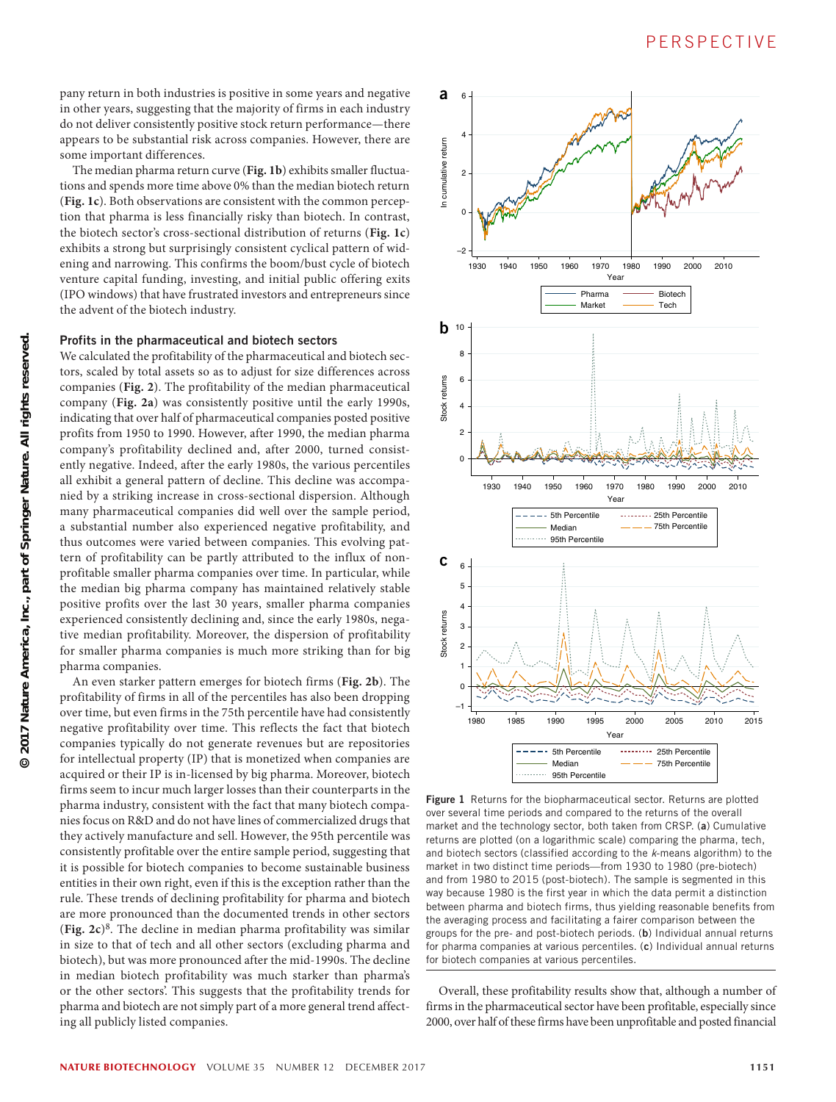pany return in both industries is positive in some years and negative in other years, suggesting that the majority of firms in each industry do not deliver consistently positive stock return performance—there appears to be substantial risk across companies. However, there are some important differences.

The median pharma return curve (**[Fig. 1b](#page-2-0)**) exhibits smaller fluctuations and spends more time above 0% than the median biotech return (**[Fig. 1c](#page-2-0)**). Both observations are consistent with the common perception that pharma is less financially risky than biotech. In contrast, the biotech sector's cross-sectional distribution of returns (**[Fig. 1c](#page-2-0)**) exhibits a strong but surprisingly consistent cyclical pattern of widening and narrowing. This confirms the boom/bust cycle of biotech venture capital funding, investing, and initial public offering exits (IPO windows) that have frustrated investors and entrepreneurs since the advent of the biotech industry.

#### Profits in the pharmaceutical and biotech sectors

We calculated the profitability of the pharmaceutical and biotech sectors, scaled by total assets so as to adjust for size differences across companies (**[Fig. 2](#page-4-0)**). The profitability of the median pharmaceutical company (**[Fig. 2a](#page-4-0)**) was consistently positive until the early 1990s, indicating that over half of pharmaceutical companies posted positive profits from 1950 to 1990. However, after 1990, the median pharma company's profitability declined and, after 2000, turned consistently negative. Indeed, after the early 1980s, the various percentiles all exhibit a general pattern of decline. This decline was accompanied by a striking increase in cross-sectional dispersion. Although many pharmaceutical companies did well over the sample period, a substantial number also experienced negative profitability, and thus outcomes were varied between companies. This evolving pattern of profitability can be partly attributed to the influx of nonprofitable smaller pharma companies over time. In particular, while the median big pharma company has maintained relatively stable positive profits over the last 30 years, smaller pharma companies experienced consistently declining and, since the early 1980s, negative median profitability. Moreover, the dispersion of profitability for smaller pharma companies is much more striking than for big pharma companies.

An even starker pattern emerges for biotech firms (**[Fig. 2b](#page-4-0)**). The profitability of firms in all of the percentiles has also been dropping over time, but even firms in the 75th percentile have had consistently negative profitability over time. This reflects the fact that biotech companies typically do not generate revenues but are repositories for intellectual property (IP) that is monetized when companies are acquired or their IP is in-licensed by big pharma. Moreover, biotech firms seem to incur much larger losses than their counterparts in the pharma industry, consistent with the fact that many biotech companies focus on R&D and do not have lines of commercialized drugs that they actively manufacture and sell. However, the 95th percentile was consistently profitable over the entire sample period, suggesting that it is possible for biotech companies to become sustainable business entities in their own right, even if this is the exception rather than the rule. These trends of declining profitability for pharma and biotech are more pronounced than the documented trends in other sectors (**[Fig. 2c](#page-4-0)**)[8](#page-8-10). The decline in median pharma profitability was similar in size to that of tech and all other sectors (excluding pharma and biotech), but was more pronounced after the mid-1990s. The decline in median biotech profitability was much starker than pharma's or the other sectors'. This suggests that the profitability trends for pharma and biotech are not simply part of a more general trend affecting all publicly listed companies.



<span id="page-2-0"></span>Figure 1 Returns for the biopharmaceutical sector. Returns are plotted over several time periods and compared to the returns of the overall market and the technology sector, both taken from CRSP. (a) Cumulative returns are plotted (on a logarithmic scale) comparing the pharma, tech, and biotech sectors (classified according to the *k*-means algorithm) to the market in two distinct time periods—from 1930 to 1980 (pre-biotech) and from 1980 to 2015 (post-biotech). The sample is segmented in this way because 1980 is the first year in which the data permit a distinction between pharma and biotech firms, thus yielding reasonable benefits from the averaging process and facilitating a fairer comparison between the groups for the pre- and post-biotech periods. (b) Individual annual returns for pharma companies at various percentiles. (c) Individual annual returns for biotech companies at various percentiles.

Overall, these profitability results show that, although a number of firms in the pharmaceutical sector have been profitable, especially since 2000, over half of these firms have been unprofitable and posted financial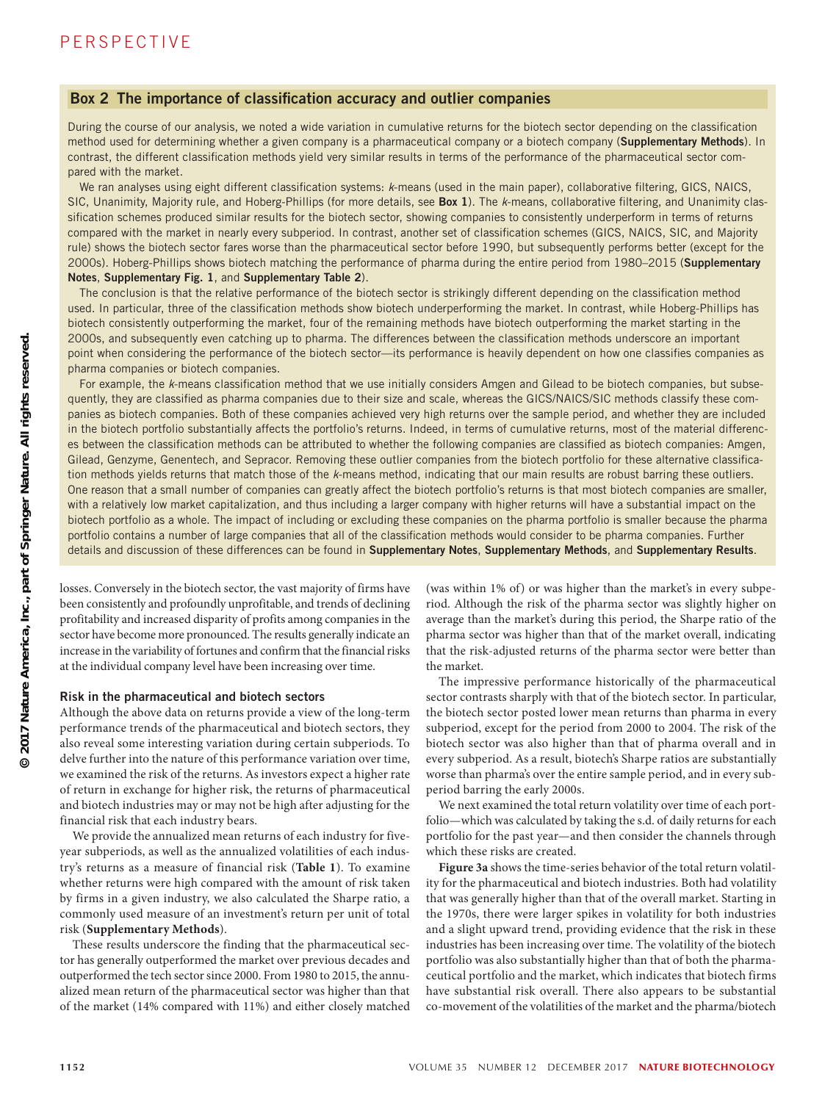## Box 2 The importance of classification accuracy and outlier companies

<span id="page-3-0"></span>During the course of our analysis, we noted a wide variation in cumulative returns for the biotech sector depending on the classification method used for determining whether a given company is a pharmaceutical company or a biotech company (Supplementary Methods). In contrast, the different classification methods yield very similar results in terms of the performance of the pharmaceutical sector compared with the market.

We ran analyses using eight different classification systems: *k*-means (used in the main paper), collaborative filtering, GICS, NAICS, SIC, Unanimity, Majority rule, and Hoberg-Phillips (for more details, see Box 1). The *k*-means, collaborative filtering, and Unanimity classification schemes produced similar results for the biotech sector, showing companies to consistently underperform in terms of returns compared with the market in nearly every subperiod. In contrast, another set of classification schemes (GICS, NAICS, SIC, and Majority rule) shows the biotech sector fares worse than the pharmaceutical sector before 1990, but subsequently performs better (except for the 2000s). Hoberg-Phillips shows biotech matching the performance of pharma during the entire period from 1980–2015 (Supplementary Notes, Supplementary Fig. 1, and Supplementary [Table 2](#page-7-0)).

The conclusion is that the relative performance of the biotech sector is strikingly different depending on the classification method used. In particular, three of the classification methods show biotech underperforming the market. In contrast, while Hoberg-Phillips has biotech consistently outperforming the market, four of the remaining methods have biotech outperforming the market starting in the 2000s, and subsequently even catching up to pharma. The differences between the classification methods underscore an important point when considering the performance of the biotech sector—its performance is heavily dependent on how one classifies companies as pharma companies or biotech companies.

For example, the *k*-means classification method that we use initially considers Amgen and Gilead to be biotech companies, but subsequently, they are classified as pharma companies due to their size and scale, whereas the GICS/NAICS/SIC methods classify these companies as biotech companies. Both of these companies achieved very high returns over the sample period, and whether they are included in the biotech portfolio substantially affects the portfolio's returns. Indeed, in terms of cumulative returns, most of the material differences between the classification methods can be attributed to whether the following companies are classified as biotech companies: Amgen, Gilead, Genzyme, Genentech, and Sepracor. Removing these outlier companies from the biotech portfolio for these alternative classification methods yields returns that match those of the *k*-means method, indicating that our main results are robust barring these outliers. One reason that a small number of companies can greatly affect the biotech portfolio's returns is that most biotech companies are smaller, with a relatively low market capitalization, and thus including a larger company with higher returns will have a substantial impact on the biotech portfolio as a whole. The impact of including or excluding these companies on the pharma portfolio is smaller because the pharma portfolio contains a number of large companies that all of the classification methods would consider to be pharma companies. Further details and discussion of these differences can be found in Supplementary Notes, Supplementary Methods, and Supplementary Results.

losses. Conversely in the biotech sector, the vast majority of firms have been consistently and profoundly unprofitable, and trends of declining profitability and increased disparity of profits among companies in the sector have become more pronounced. The results generally indicate an increase in the variability of fortunes and confirm that the financial risks at the individual company level have been increasing over time.

#### Risk in the pharmaceutical and biotech sectors

Although the above data on returns provide a view of the long-term performance trends of the pharmaceutical and biotech sectors, they also reveal some interesting variation during certain subperiods. To delve further into the nature of this performance variation over time, we examined the risk of the returns. As investors expect a higher rate of return in exchange for higher risk, the returns of pharmaceutical and biotech industries may or may not be high after adjusting for the financial risk that each industry bears.

We provide the annualized mean returns of each industry for fiveyear subperiods, as well as the annualized volatilities of each industry's returns as a measure of financial risk (**[Table 1](#page-5-0)**). To examine whether returns were high compared with the amount of risk taken by firms in a given industry, we also calculated the Sharpe ratio, a commonly used measure of an investment's return per unit of total risk (**Supplementary Methods**).

These results underscore the finding that the pharmaceutical sector has generally outperformed the market over previous decades and outperformed the tech sector since 2000. From 1980 to 2015, the annualized mean return of the pharmaceutical sector was higher than that of the market (14% compared with 11%) and either closely matched

(was within 1% of) or was higher than the market's in every subperiod. Although the risk of the pharma sector was slightly higher on average than the market's during this period, the Sharpe ratio of the pharma sector was higher than that of the market overall, indicating that the risk-adjusted returns of the pharma sector were better than the market.

The impressive performance historically of the pharmaceutical sector contrasts sharply with that of the biotech sector. In particular, the biotech sector posted lower mean returns than pharma in every subperiod, except for the period from 2000 to 2004. The risk of the biotech sector was also higher than that of pharma overall and in every subperiod. As a result, biotech's Sharpe ratios are substantially worse than pharma's over the entire sample period, and in every subperiod barring the early 2000s.

We next examined the total return volatility over time of each portfolio—which was calculated by taking the s.d. of daily returns for each portfolio for the past year—and then consider the channels through which these risks are created.

**[Figure 3a](#page-6-0)** shows the time-series behavior of the total return volatility for the pharmaceutical and biotech industries. Both had volatility that was generally higher than that of the overall market. Starting in the 1970s, there were larger spikes in volatility for both industries and a slight upward trend, providing evidence that the risk in these industries has been increasing over time. The volatility of the biotech portfolio was also substantially higher than that of both the pharmaceutical portfolio and the market, which indicates that biotech firms have substantial risk overall. There also appears to be substantial co-movement of the volatilities of the market and the pharma/biotech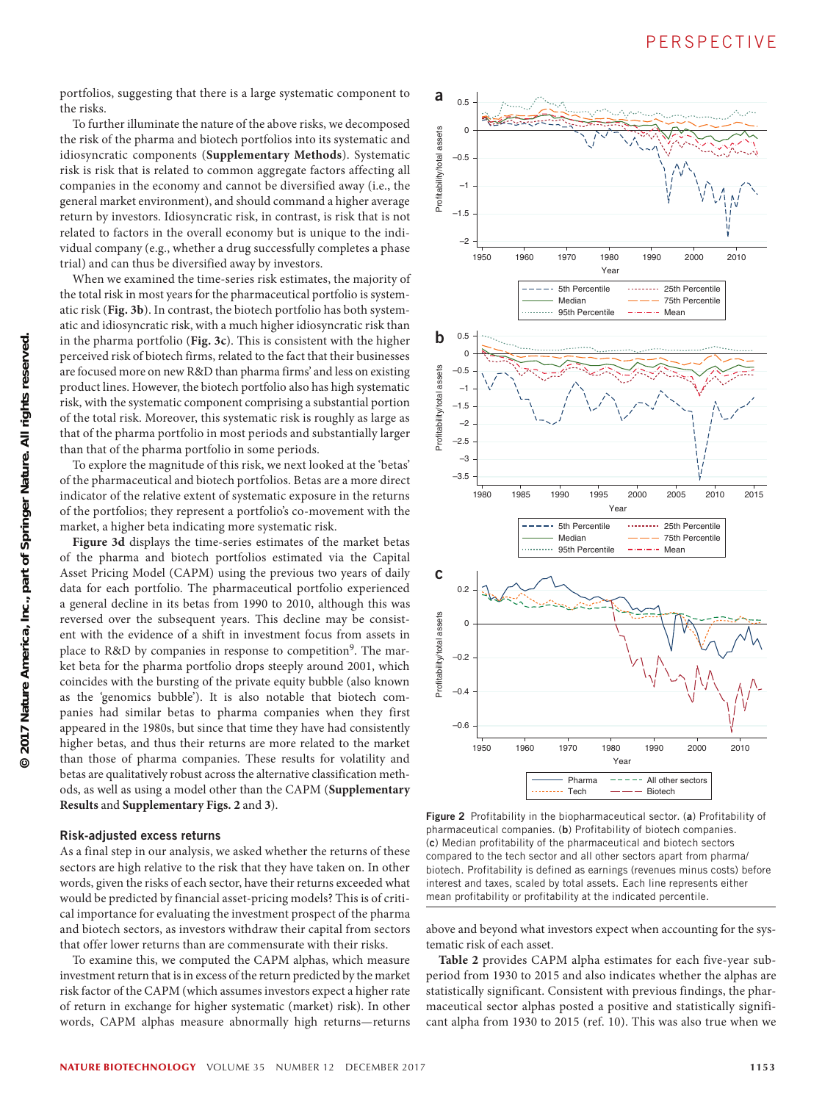portfolios, suggesting that there is a large systematic component to the risks.

To further illuminate the nature of the above risks, we decomposed the risk of the pharma and biotech portfolios into its systematic and idiosyncratic components (**Supplementary Methods**). Systematic risk is risk that is related to common aggregate factors affecting all companies in the economy and cannot be diversified away (i.e., the general market environment), and should command a higher average return by investors. Idiosyncratic risk, in contrast, is risk that is not related to factors in the overall economy but is unique to the individual company (e.g., whether a drug successfully completes a phase trial) and can thus be diversified away by investors.

When we examined the time-series risk estimates, the majority of the total risk in most years for the pharmaceutical portfolio is systematic risk (**[Fig. 3b](#page-6-0)**). In contrast, the biotech portfolio has both systematic and idiosyncratic risk, with a much higher idiosyncratic risk than in the pharma portfolio (**[Fig. 3c](#page-6-0)**). This is consistent with the higher perceived risk of biotech firms, related to the fact that their businesses are focused more on new R&D than pharma firms' and less on existing product lines. However, the biotech portfolio also has high systematic risk, with the systematic component comprising a substantial portion of the total risk. Moreover, this systematic risk is roughly as large as that of the pharma portfolio in most periods and substantially larger than that of the pharma portfolio in some periods.

To explore the magnitude of this risk, we next looked at the 'betas' of the pharmaceutical and biotech portfolios. Betas are a more direct indicator of the relative extent of systematic exposure in the returns of the portfolios; they represent a portfolio's co-movement with the market, a higher beta indicating more systematic risk.

**[Figure 3d](#page-6-0)** displays the time-series estimates of the market betas of the pharma and biotech portfolios estimated via the Capital Asset Pricing Model (CAPM) using the previous two years of daily data for each portfolio. The pharmaceutical portfolio experienced a general decline in its betas from 1990 to 2010, although this was reversed over the subsequent years. This decline may be consistent with the evidence of a shift in investment focus from assets in place to R&D by companies in response to competition<sup>9</sup>. The market beta for the pharma portfolio drops steeply around 2001, which coincides with the bursting of the private equity bubble (also known as the 'genomics bubble'). It is also notable that biotech companies had similar betas to pharma companies when they first appeared in the 1980s, but since that time they have had consistently higher betas, and thus their returns are more related to the market than those of pharma companies. These results for volatility and betas are qualitatively robust across the alternative classification methods, as well as using a model other than the CAPM (**Supplementary Results** and **Supplementary Figs. 2** and **3**).

#### Risk-adjusted excess returns

As a final step in our analysis, we asked whether the returns of these sectors are high relative to the risk that they have taken on. In other words, given the risks of each sector, have their returns exceeded what would be predicted by financial asset-pricing models? This is of critical importance for evaluating the investment prospect of the pharma and biotech sectors, as investors withdraw their capital from sectors that offer lower returns than are commensurate with their risks.

To examine this, we computed the CAPM alphas, which measure investment return that is in excess of the return predicted by the market risk factor of the CAPM (which assumes investors expect a higher rate of return in exchange for higher systematic (market) risk). In other words, CAPM alphas measure abnormally high returns—returns



<span id="page-4-0"></span>Figure 2 Profitability in the biopharmaceutical sector. (a) Profitability of pharmaceutical companies. (b) Profitability of biotech companies. (c) Median profitability of the pharmaceutical and biotech sectors compared to the tech sector and all other sectors apart from pharma/ biotech. Profitability is defined as earnings (revenues minus costs) before interest and taxes, scaled by total assets. Each line represents either mean profitability or profitability at the indicated percentile.

above and beyond what investors expect when accounting for the systematic risk of each asset.

**[Table 2](#page-7-0)** provides CAPM alpha estimates for each five-year subperiod from 1930 to 2015 and also indicates whether the alphas are statistically significant. Consistent with previous findings, the pharmaceutical sector alphas posted a positive and statistically significant alpha from 1930 to 2015 (ref. [10](#page-8-12)). This was also true when we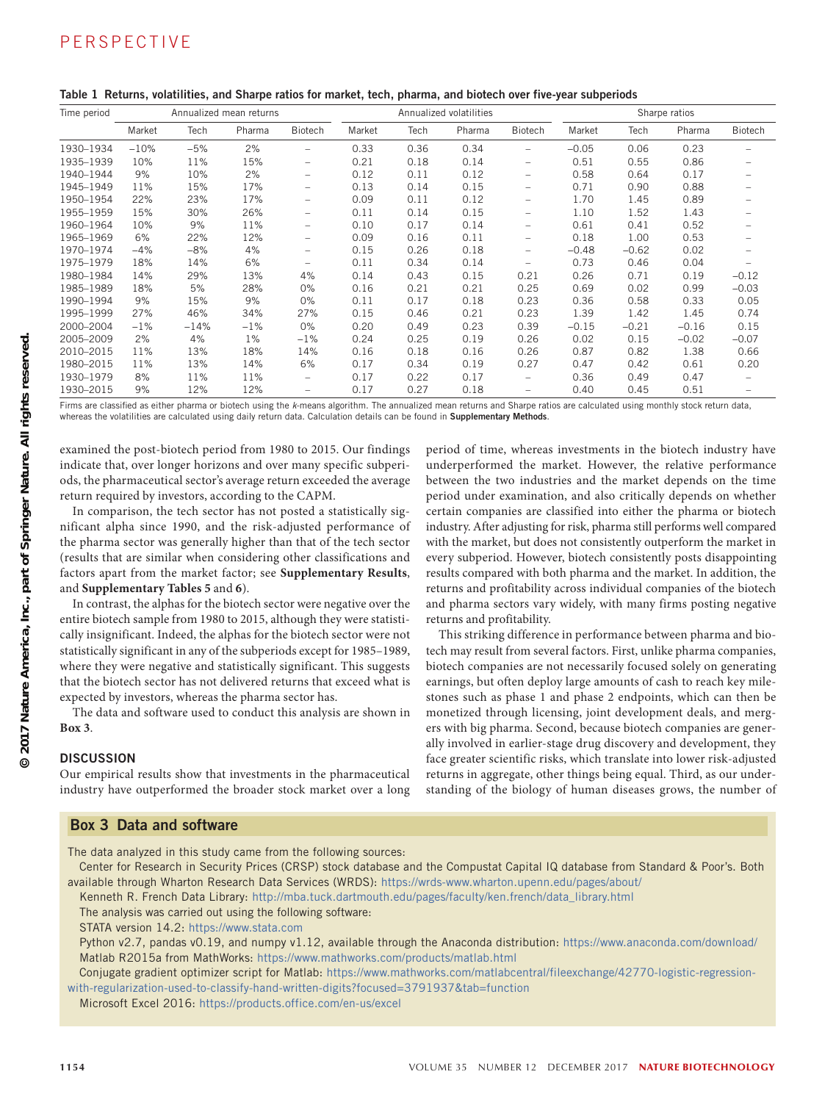| Time period | Annualized mean returns |        |        | Annualized volatilities  |        |      |        | Sharpe ratios            |         |         |         |                          |
|-------------|-------------------------|--------|--------|--------------------------|--------|------|--------|--------------------------|---------|---------|---------|--------------------------|
|             | Market                  | Tech   | Pharma | Biotech                  | Market | Tech | Pharma | Biotech                  | Market  | Tech    | Pharma  | Biotech                  |
| 1930-1934   | $-10%$                  | $-5%$  | 2%     | $\overline{\phantom{0}}$ | 0.33   | 0.36 | 0.34   | $\overline{\phantom{0}}$ | $-0.05$ | 0.06    | 0.23    |                          |
| 1935-1939   | 10%                     | 11%    | 15%    | $\overline{\phantom{0}}$ | 0.21   | 0.18 | 0.14   | $\qquad \qquad$          | 0.51    | 0.55    | 0.86    |                          |
| 1940-1944   | 9%                      | 10%    | 2%     | $\overline{\phantom{0}}$ | 0.12   | 0.11 | 0.12   | $\qquad \qquad$          | 0.58    | 0.64    | 0.17    | $\overline{\phantom{0}}$ |
| 1945-1949   | 11%                     | 15%    | 17%    | $\overline{\phantom{0}}$ | 0.13   | 0.14 | 0.15   | $\qquad \qquad$          | 0.71    | 0.90    | 0.88    |                          |
| 1950-1954   | 22%                     | 23%    | 17%    | $\overline{\phantom{0}}$ | 0.09   | 0.11 | 0.12   | $\qquad \qquad$          | 1.70    | 1.45    | 0.89    |                          |
| 1955-1959   | 15%                     | 30%    | 26%    | $\overline{\phantom{0}}$ | 0.11   | 0.14 | 0.15   | $\overline{\phantom{0}}$ | 1.10    | 1.52    | 1.43    | -                        |
| 1960-1964   | 10%                     | 9%     | 11%    | $\overline{\phantom{0}}$ | 0.10   | 0.17 | 0.14   | $\qquad \qquad$          | 0.61    | 0.41    | 0.52    | $\overline{\phantom{0}}$ |
| 1965-1969   | 6%                      | 22%    | 12%    | $\overline{\phantom{0}}$ | 0.09   | 0.16 | 0.11   | -                        | 0.18    | 1.00    | 0.53    |                          |
| 1970-1974   | $-4%$                   | $-8%$  | 4%     | $\overline{\phantom{0}}$ | 0.15   | 0.26 | 0.18   | $\qquad \qquad$          | $-0.48$ | $-0.62$ | 0.02    |                          |
| 1975-1979   | 18%                     | 14%    | 6%     | -                        | 0.11   | 0.34 | 0.14   | $\overline{\phantom{0}}$ | 0.73    | 0.46    | 0.04    |                          |
| 1980-1984   | 14%                     | 29%    | 13%    | 4%                       | 0.14   | 0.43 | 0.15   | 0.21                     | 0.26    | 0.71    | 0.19    | $-0.12$                  |
| 1985-1989   | 18%                     | 5%     | 28%    | 0%                       | 0.16   | 0.21 | 0.21   | 0.25                     | 0.69    | 0.02    | 0.99    | $-0.03$                  |
| 1990-1994   | 9%                      | 15%    | 9%     | $0\%$                    | 0.11   | 0.17 | 0.18   | 0.23                     | 0.36    | 0.58    | 0.33    | 0.05                     |
| 1995-1999   | 27%                     | 46%    | 34%    | 27%                      | 0.15   | 0.46 | 0.21   | 0.23                     | 1.39    | 1.42    | 1.45    | 0.74                     |
| 2000-2004   | $-1%$                   | $-14%$ | $-1%$  | $0\%$                    | 0.20   | 0.49 | 0.23   | 0.39                     | $-0.15$ | $-0.21$ | $-0.16$ | 0.15                     |
| 2005-2009   | 2%                      | 4%     | $1\%$  | $-1%$                    | 0.24   | 0.25 | 0.19   | 0.26                     | 0.02    | 0.15    | $-0.02$ | $-0.07$                  |
| 2010-2015   | 11%                     | 13%    | 18%    | 14%                      | 0.16   | 0.18 | 0.16   | 0.26                     | 0.87    | 0.82    | 1.38    | 0.66                     |
| 1980-2015   | 11%                     | 13%    | 14%    | 6%                       | 0.17   | 0.34 | 0.19   | 0.27                     | 0.47    | 0.42    | 0.61    | 0.20                     |
| 1930-1979   | 8%                      | 11%    | 11%    | $\overline{\phantom{0}}$ | 0.17   | 0.22 | 0.17   | $\overline{\phantom{0}}$ | 0.36    | 0.49    | 0.47    | -                        |
| 1930-2015   | 9%                      | 12%    | 12%    | $\overline{\phantom{0}}$ | 0.17   | 0.27 | 0.18   |                          | 0.40    | 0.45    | 0.51    | $\overline{\phantom{0}}$ |

<span id="page-5-0"></span>Table 1 Returns, volatilities, and Sharpe ratios for market, tech, pharma, and biotech over five-year subperiods

Firms are classified as either pharma or biotech using the *k*-means algorithm. The annualized mean returns and Sharpe ratios are calculated using monthly stock return data, whereas the volatilities are calculated using daily return data. Calculation details can be found in Supplementary Methods.

examined the post-biotech period from 1980 to 2015. Our findings indicate that, over longer horizons and over many specific subperiods, the pharmaceutical sector's average return exceeded the average return required by investors, according to the CAPM.

In comparison, the tech sector has not posted a statistically significant alpha since 1990, and the risk-adjusted performance of the pharma sector was generally higher than that of the tech sector (results that are similar when considering other classifications and factors apart from the market factor; see **Supplementary Results**, and **Supplementary Tables 5** and **6**).

In contrast, the alphas for the biotech sector were negative over the entire biotech sample from 1980 to 2015, although they were statistically insignificant. Indeed, the alphas for the biotech sector were not statistically significant in any of the subperiods except for 1985–1989, where they were negative and statistically significant. This suggests that the biotech sector has not delivered returns that exceed what is expected by investors, whereas the pharma sector has.

The data and software used to conduct this analysis are shown in **[Box 3](#page-3-0)**.

# **DISCUSSION**

Our empirical results show that investments in the pharmaceutical industry have outperformed the broader stock market over a long period of time, whereas investments in the biotech industry have underperformed the market. However, the relative performance between the two industries and the market depends on the time period under examination, and also critically depends on whether certain companies are classified into either the pharma or biotech industry. After adjusting for risk, pharma still performs well compared with the market, but does not consistently outperform the market in every subperiod. However, biotech consistently posts disappointing results compared with both pharma and the market. In addition, the returns and profitability across individual companies of the biotech and pharma sectors vary widely, with many firms posting negative returns and profitability.

This striking difference in performance between pharma and biotech may result from several factors. First, unlike pharma companies, biotech companies are not necessarily focused solely on generating earnings, but often deploy large amounts of cash to reach key milestones such as phase 1 and phase 2 endpoints, which can then be monetized through licensing, joint development deals, and mergers with big pharma. Second, because biotech companies are generally involved in earlier-stage drug discovery and development, they face greater scientific risks, which translate into lower risk-adjusted returns in aggregate, other things being equal. Third, as our understanding of the biology of human diseases grows, the number of

#### Box 3 Data and software

The data analyzed in this study came from the following sources:

Center for Research in Security Prices (CRSP) stock database and the Compustat Capital IQ database from Standard & Poor's. Both available through Wharton Research Data Services (WRDS): <https://wrds-www.wharton.upenn.edu/pages/about/>

Kenneth R. French Data Library: [http://mba.tuck.dartmouth.edu/pages/faculty/ken.french/data\\_library.html](http://mba.tuck.dartmouth.edu/pages/faculty/ken.french/data_library.html)

The analysis was carried out using the following software:

STATA version 14.2: <https://www.stata.com>

Python v2.7, pandas v0.19, and numpy v1.12, available through the Anaconda distribution:<https://www.anaconda.com/download/> Matlab R2015a from MathWorks: <https://www.mathworks.com/products/matlab.html>

Conjugate gradient optimizer script for Matlab: [https://www.mathworks.com/matlabcentral/fileexchange/42770-logistic-regression](https://www.mathworks.com/matlabcentral/fileexchange/42770-logistic-regression-with-regularization-used-to-classify-hand-written-digits?focused=3791937&tab=function)[with-regularization-used-to-classify-hand-written-digits?focused=3791937&tab=function](https://www.mathworks.com/matlabcentral/fileexchange/42770-logistic-regression-with-regularization-used-to-classify-hand-written-digits?focused=3791937&tab=function)

Microsoft Excel 2016: <https://products.office.com/en-us/excel>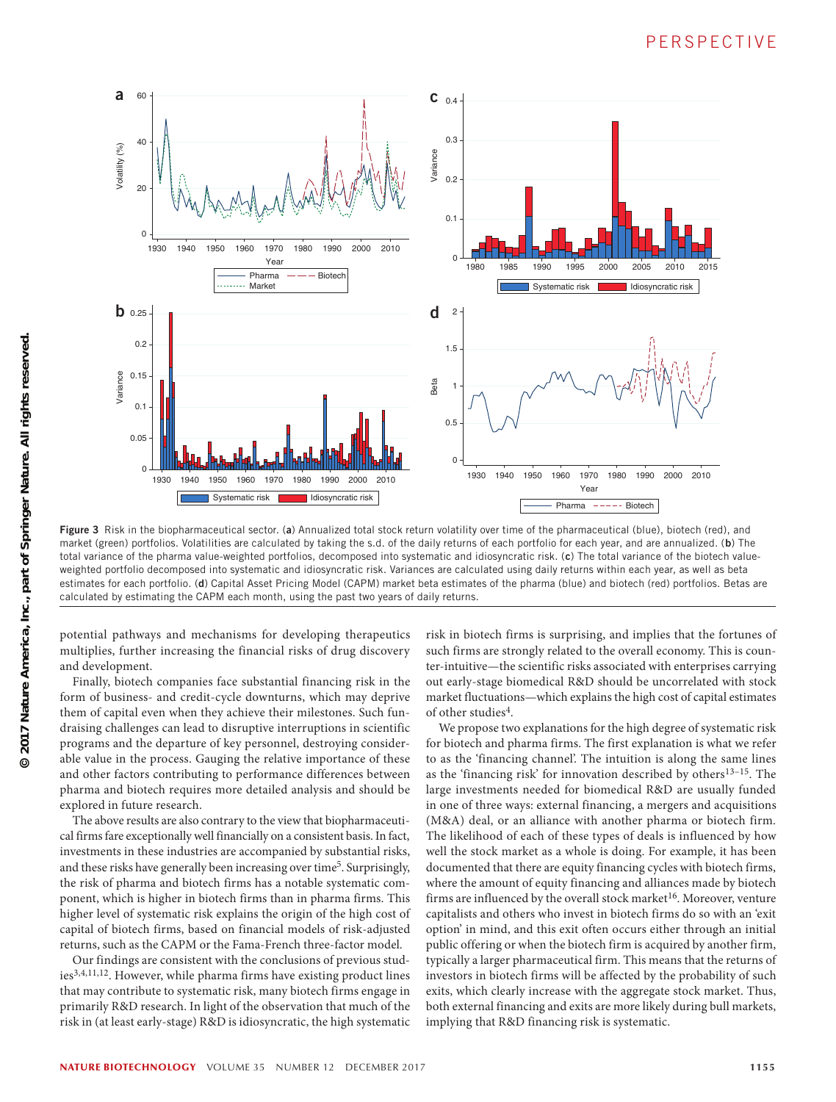

<span id="page-6-0"></span>Figure 3 Risk in the biopharmaceutical sector. (a) Annualized total stock return volatility over time of the pharmaceutical (blue), biotech (red), and market (green) portfolios. Volatilities are calculated by taking the s.d. of the daily returns of each portfolio for each year, and are annualized. (b) The total variance of the pharma value-weighted portfolios, decomposed into systematic and idiosyncratic risk. (c) The total variance of the biotech valueweighted portfolio decomposed into systematic and idiosyncratic risk. Variances are calculated using daily returns within each year, as well as beta estimates for each portfolio. (d) Capital Asset Pricing Model (CAPM) market beta estimates of the pharma (blue) and biotech (red) portfolios. Betas are calculated by estimating the CAPM each month, using the past two years of daily returns.

potential pathways and mechanisms for developing therapeutics multiplies, further increasing the financial risks of drug discovery and development.

Finally, biotech companies face substantial financing risk in the form of business- and credit-cycle downturns, which may deprive them of capital even when they achieve their milestones. Such fundraising challenges can lead to disruptive interruptions in scientific programs and the departure of key personnel, destroying considerable value in the process. Gauging the relative importance of these and other factors contributing to performance differences between pharma and biotech requires more detailed analysis and should be explored in future research.

The above results are also contrary to the view that biopharmaceutical firms fare exceptionally well financially on a consistent basis. In fact, investments in these industries are accompanied by substantial risks, and these risks have generally been increasing over time<sup>5</sup>. Surprisingly, the risk of pharma and biotech firms has a notable systematic component, which is higher in biotech firms than in pharma firms. This higher level of systematic risk explains the origin of the high cost of capital of biotech firms, based on financial models of risk-adjusted returns, such as the CAPM or the Fama-French three-factor model.

Our findings are consistent with the conclusions of previous studies[3,](#page-8-2)[4,](#page-8-3)[11,](#page-8-13)[12](#page-8-14). However, while pharma firms have existing product lines that may contribute to systematic risk, many biotech firms engage in primarily R&D research. In light of the observation that much of the risk in (at least early-stage) R&D is idiosyncratic, the high systematic

risk in biotech firms is surprising, and implies that the fortunes of such firms are strongly related to the overall economy. This is counter-intuitive—the scientific risks associated with enterprises carrying out early-stage biomedical R&D should be uncorrelated with stock market fluctuations—which explains the high cost of capital estimates of other studies<sup>4</sup>.

We propose two explanations for the high degree of systematic risk for biotech and pharma firms. The first explanation is what we refer to as the 'financing channel'. The intuition is along the same lines as the 'financing risk' for innovation described by others<sup>13-[15](#page-8-16)</sup>. The large investments needed for biomedical R&D are usually funded in one of three ways: external financing, a mergers and acquisitions (M&A) deal, or an alliance with another pharma or biotech firm. The likelihood of each of these types of deals is influenced by how well the stock market as a whole is doing. For example, it has been documented that there are equity financing cycles with biotech firms, where the amount of equity financing and alliances made by biotech firms are influenced by the overall stock market<sup>[16](#page-8-17)</sup>. Moreover, venture capitalists and others who invest in biotech firms do so with an 'exit option' in mind, and this exit often occurs either through an initial public offering or when the biotech firm is acquired by another firm, typically a larger pharmaceutical firm. This means that the returns of investors in biotech firms will be affected by the probability of such exits, which clearly increase with the aggregate stock market. Thus, both external financing and exits are more likely during bull markets, implying that R&D financing risk is systematic.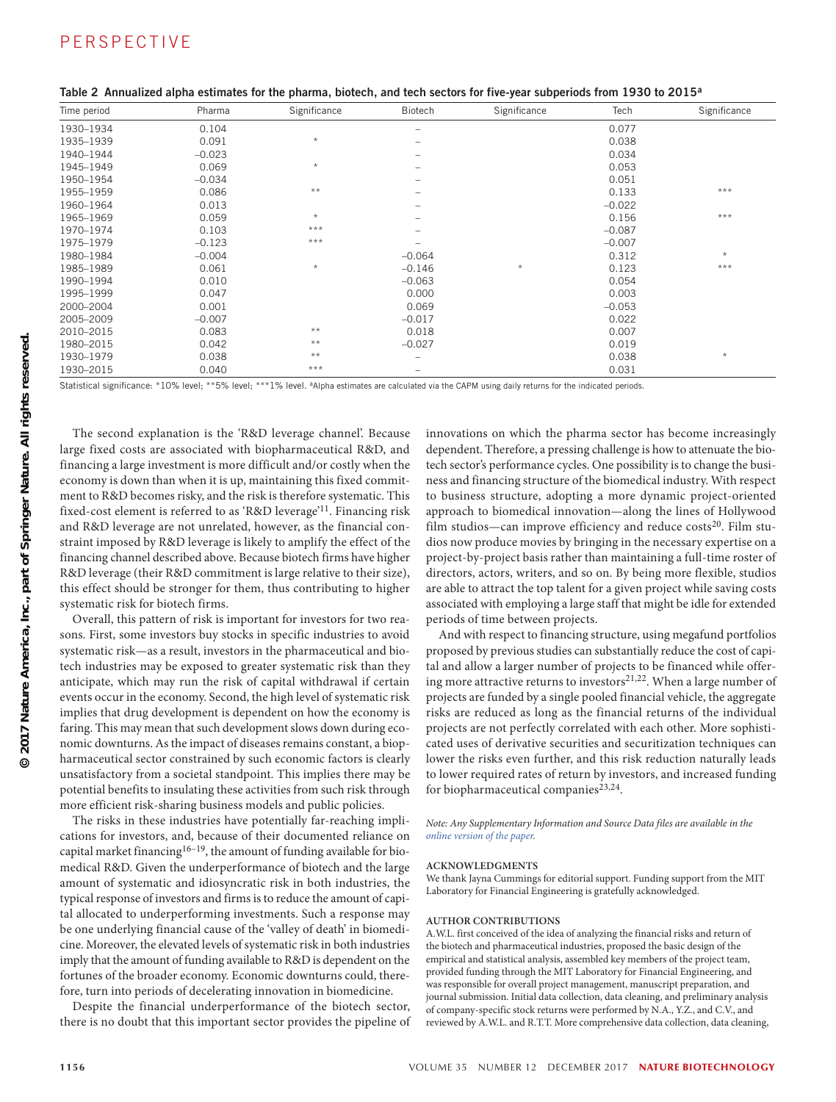<span id="page-7-0"></span>

|  |  |  |  | Table 2 Annualized alpha estimates for the pharma, biotech, and tech sectors for five-vear subperiods from 1930 to 2015 <sup>a</sup> |  |  |
|--|--|--|--|--------------------------------------------------------------------------------------------------------------------------------------|--|--|
|--|--|--|--|--------------------------------------------------------------------------------------------------------------------------------------|--|--|

| ---------- --- ---- |          |                 |                          |              |          |              |  |  |  |
|---------------------|----------|-----------------|--------------------------|--------------|----------|--------------|--|--|--|
| Time period         | Pharma   | Significance    | Biotech                  | Significance | Tech     | Significance |  |  |  |
| 1930-1934           | 0.104    |                 | -                        |              | 0.077    |              |  |  |  |
| 1935-1939           | 0.091    | $\star$         | -                        |              | 0.038    |              |  |  |  |
| 1940-1944           | $-0.023$ |                 | -                        |              | 0.034    |              |  |  |  |
| 1945-1949           | 0.069    | $\star$         | -                        |              | 0.053    |              |  |  |  |
| 1950-1954           | $-0.034$ |                 | $\overline{\phantom{0}}$ |              | 0.051    |              |  |  |  |
| 1955-1959           | 0.086    | $^{\star\star}$ | -                        |              | 0.133    | $***$        |  |  |  |
| 1960-1964           | 0.013    |                 | $\overline{\phantom{a}}$ |              | $-0.022$ |              |  |  |  |
| 1965-1969           | 0.059    | $\star$         | $\overline{\phantom{0}}$ |              | 0.156    | $***$        |  |  |  |
| 1970-1974           | 0.103    | $***$           | -                        |              | $-0.087$ |              |  |  |  |
| 1975-1979           | $-0.123$ | $***$           | -                        |              | $-0.007$ |              |  |  |  |
| 1980-1984           | $-0.004$ |                 | $-0.064$                 |              | 0.312    | $\star$      |  |  |  |
| 1985-1989           | 0.061    | $\star$         | $-0.146$                 | $\star$      | 0.123    | $***$        |  |  |  |
| 1990-1994           | 0.010    |                 | $-0.063$                 |              | 0.054    |              |  |  |  |
| 1995-1999           | 0.047    |                 | 0.000                    |              | 0.003    |              |  |  |  |
| 2000-2004           | 0.001    |                 | 0.069                    |              | $-0.053$ |              |  |  |  |
| 2005-2009           | $-0.007$ |                 | $-0.017$                 |              | 0.022    |              |  |  |  |
| 2010-2015           | 0.083    | $***$           | 0.018                    |              | 0.007    |              |  |  |  |
| 1980-2015           | 0.042    | $***$           | $-0.027$                 |              | 0.019    |              |  |  |  |
| 1930-1979           | 0.038    | $***$           | -                        |              | 0.038    | $\star$      |  |  |  |
| 1930-2015           | 0.040    | $***$           | $\overline{\phantom{0}}$ |              | 0.031    |              |  |  |  |

Statistical significance: \*10% level; \*\*5% level; \*\*\*1% level. <sup>a</sup>Alpha estimates are calculated via the CAPM using daily returns for the indicated periods.

The second explanation is the 'R&D leverage channel'. Because large fixed costs are associated with biopharmaceutical R&D, and financing a large investment is more difficult and/or costly when the economy is down than when it is up, maintaining this fixed commitment to R&D becomes risky, and the risk is therefore systematic. This fixed-cost element is referred to as 'R&D leverage['11.](#page-8-13) Financing risk and R&D leverage are not unrelated, however, as the financial constraint imposed by R&D leverage is likely to amplify the effect of the financing channel described above. Because biotech firms have higher R&D leverage (their R&D commitment is large relative to their size), this effect should be stronger for them, thus contributing to higher systematic risk for biotech firms.

Overall, this pattern of risk is important for investors for two reasons. First, some investors buy stocks in specific industries to avoid systematic risk—as a result, investors in the pharmaceutical and biotech industries may be exposed to greater systematic risk than they anticipate, which may run the risk of capital withdrawal if certain events occur in the economy. Second, the high level of systematic risk implies that drug development is dependent on how the economy is faring. This may mean that such development slows down during economic downturns. As the impact of diseases remains constant, a biopharmaceutical sector constrained by such economic factors is clearly unsatisfactory from a societal standpoint. This implies there may be potential benefits to insulating these activities from such risk through more efficient risk-sharing business models and public policies.

The risks in these industries have potentially far-reaching implications for investors, and, because of their documented reliance on capital market financing<sup>16–19</sup>, the amount of funding available for biomedical R&D. Given the underperformance of biotech and the large amount of systematic and idiosyncratic risk in both industries, the typical response of investors and firms is to reduce the amount of capital allocated to underperforming investments. Such a response may be one underlying financial cause of the 'valley of death' in biomedicine. Moreover, the elevated levels of systematic risk in both industries imply that the amount of funding available to R&D is dependent on the fortunes of the broader economy. Economic downturns could, therefore, turn into periods of decelerating innovation in biomedicine.

Despite the financial underperformance of the biotech sector, there is no doubt that this important sector provides the pipeline of innovations on which the pharma sector has become increasingly dependent. Therefore, a pressing challenge is how to attenuate the biotech sector's performance cycles. One possibility is to change the business and financing structure of the biomedical industry. With respect to business structure, adopting a more dynamic project-oriented approach to biomedical innovation—along the lines of Hollywood film studios—can improve efficiency and reduce costs<sup>20</sup>. Film studios now produce movies by bringing in the necessary expertise on a project-by-project basis rather than maintaining a full-time roster of directors, actors, writers, and so on. By being more flexible, studios are able to attract the top talent for a given project while saving costs associated with employing a large staff that might be idle for extended periods of time between projects.

And with respect to financing structure, using megafund portfolios proposed by previous studies can substantially reduce the cost of capital and allow a larger number of projects to be financed while offer-ing more attractive returns to investors<sup>[21,](#page-8-20)[22](#page-8-21)</sup>. When a large number of projects are funded by a single pooled financial vehicle, the aggregate risks are reduced as long as the financial returns of the individual projects are not perfectly correlated with each other. More sophisticated uses of derivative securities and securitization techniques can lower the risks even further, and this risk reduction naturally leads to lower required rates of return by investors, and increased funding for biopharmaceutical companies<sup>[23,](#page-8-22)24</sup>.

*Note: Any Supplementary Information and Source Data files are available in the online [version](http://dx.doi.org/10.1038/nbt.4023) of the paper.*

#### **Acknowledgments**

We thank Jayna Cummings for editorial support. Funding support from the MIT Laboratory for Financial Engineering is gratefully acknowledged.

#### **Author Contributions**

A.W.L. first conceived of the idea of analyzing the financial risks and return of the biotech and pharmaceutical industries, proposed the basic design of the empirical and statistical analysis, assembled key members of the project team, provided funding through the MIT Laboratory for Financial Engineering, and was responsible for overall project management, manuscript preparation, and journal submission. Initial data collection, data cleaning, and preliminary analysis of company-specific stock returns were performed by N.A., Y.Z., and C.V., and reviewed by A.W.L. and R.T.T. More comprehensive data collection, data cleaning,